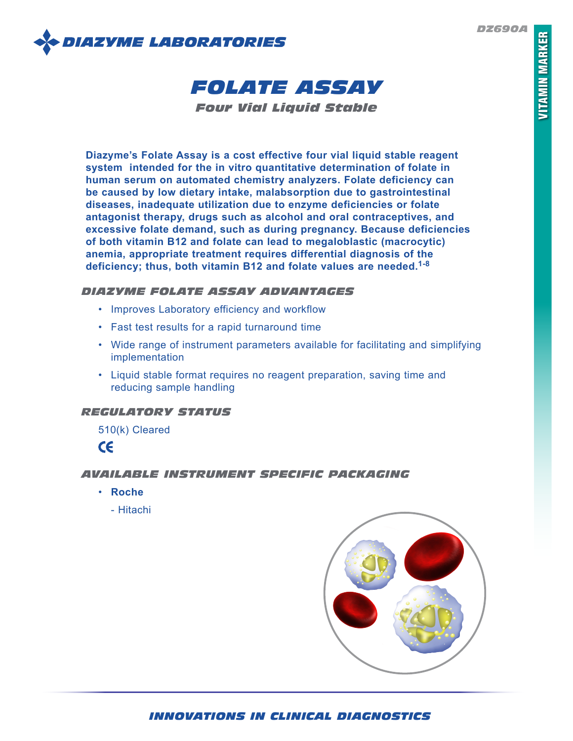*DZ690A*





*Four Vial Liquid Stable*

**Diazyme's Folate Assay is a cost effective four vial liquid stable reagent system intended for the in vitro quantitative determination of folate in human serum on automated chemistry analyzers. Folate deficiency can be caused by low dietary intake, malabsorption due to gastrointestinal diseases, inadequate utilization due to enzyme deficiencies or folate antagonist therapy, drugs such as alcohol and oral contraceptives, and excessive folate demand, such as during pregnancy. Because deficiencies of both vitamin B12 and folate can lead to megaloblastic (macrocytic) anemia, appropriate treatment requires differential diagnosis of the deficiency; thus, both vitamin B12 and folate values are needed.1-8**

# *DIAZYME FOLATE ASSAY ADVANTAGES*

- Improves Laboratory efficiency and workflow
- Fast test results for a rapid turnaround time
- Wide range of instrument parameters available for facilitating and simplifying implementation
- Liquid stable format requires no reagent preparation, saving time and reducing sample handling

# *REGULATORY STATUS*

510(k) Cleared



# *AVAILABLE INSTRUMENT SPECIFIC PACKAGING*

- **Roche**
	- Hitachi



# *INNOVATIONS IN CLINICAL DIAGNOSTICS*